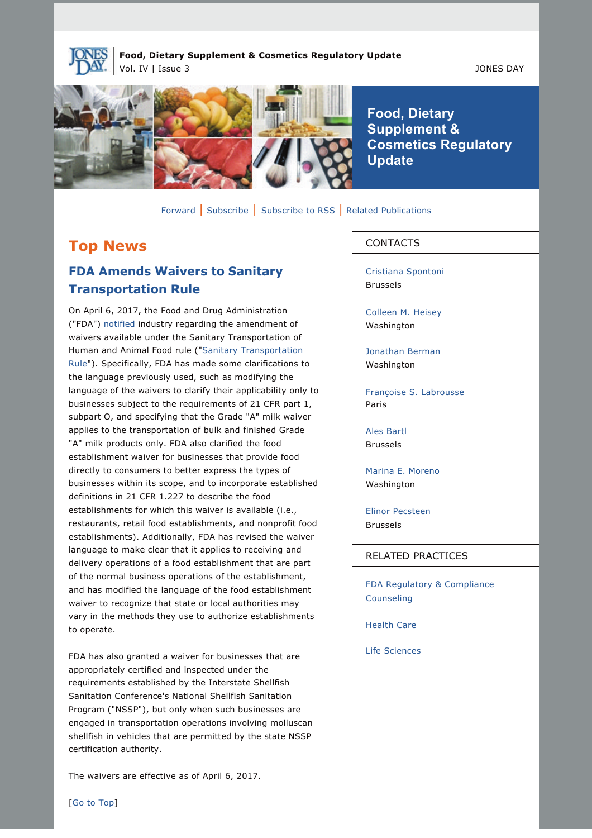

**Food, Dietary Supplement & Cosmetics Regulatory Update** Vol. IV | Issue 3 JONES DAY



**Food, Dietary Supplement & Cosmetics Regulatory Update**

[Forward](https://jonesday-ecommunications.com/5/69/landing-pages/forward-to-a-friend.asp) | [Subscribe](http://www.jonesday.com/newsknowledge/PublicationSignup.aspx) | [Subscribe to RSS](http://www.jonesday.com/newsknowledge/rss.aspx) | [Related Publications](http://www.jonesday.com/fdaregulatoryandcompliancecounseling/?section=Publications)

### **Top News**

## **FDA Amends Waivers to Sanitary Transportation Rule**

On April 6, 2017, the Food and Drug Administration ("FDA") [notified](https://www.gpo.gov/fdsys/pkg/FR-2017-04-06/pdf/2017-06854.pdf) industry regarding the amendment of waivers available under the Sanitary Transportation of Human and Animal Food rule (["Sanitary Transportation](https://www.fda.gov/food/guidanceregulation/fsma/ucm383763.htm)  [Rule"](https://www.fda.gov/food/guidanceregulation/fsma/ucm383763.htm)). Specifically, FDA has made some clarifications to the language previously used, such as modifying the language of the waivers to clarify their applicability only to businesses subject to the requirements of 21 CFR part 1, subpart O, and specifying that the Grade "A" milk waiver applies to the transportation of bulk and finished Grade "A" milk products only. FDA also clarified the food establishment waiver for businesses that provide food directly to consumers to better express the types of businesses within its scope, and to incorporate established definitions in 21 CFR 1.227 to describe the food establishments for which this waiver is available (i.e., restaurants, retail food establishments, and nonprofit food establishments). Additionally, FDA has revised the waiver language to make clear that it applies to receiving and delivery operations of a food establishment that are part of the normal business operations of the establishment, and has modified the language of the food establishment waiver to recognize that state or local authorities may vary in the methods they use to authorize establishments to operate.

FDA has also granted a waiver for businesses that are appropriately certified and inspected under the requirements established by the Interstate Shellfish Sanitation Conference's National Shellfish Sanitation Program ("NSSP"), but only when such businesses are engaged in transportation operations involving molluscan shellfish in vehicles that are permitted by the state NSSP certification authority.

The waivers are effective as of April 6, 2017.

#### CONTACTS

[Cristiana Spontoni](http://www.jonesday.com/cspontoni) Brussels

[Colleen M. Heisey](http://www.jonesday.com/cmheisey) Washington

[Jonathan Berman](http://www.jonesday.com/jberman) Washington

[Françoise S. Labrousse](http://www.jonesday.com/flabrousse) Paris

[Ales Bartl](http://www.jonesday.com/abartl) Brussels

[Marina E. Moreno](http://www.jonesday.com/mmoreno) Washington

[Elinor Pecsteen](http://www.jonesday.com/epecsteen) Brussels

#### RELATED PRACTICES

[FDA Regulatory & Compliance](http://www.jonesday.com/fdaregulatoryandcompliancecounseling)  [Counseling](http://www.jonesday.com/fdaregulatoryandcompliancecounseling)

[Health Care](http://www.jonesday.com/health-care-practices/)

[Life Sciences](http://www.jonesday.com/lifesciences/)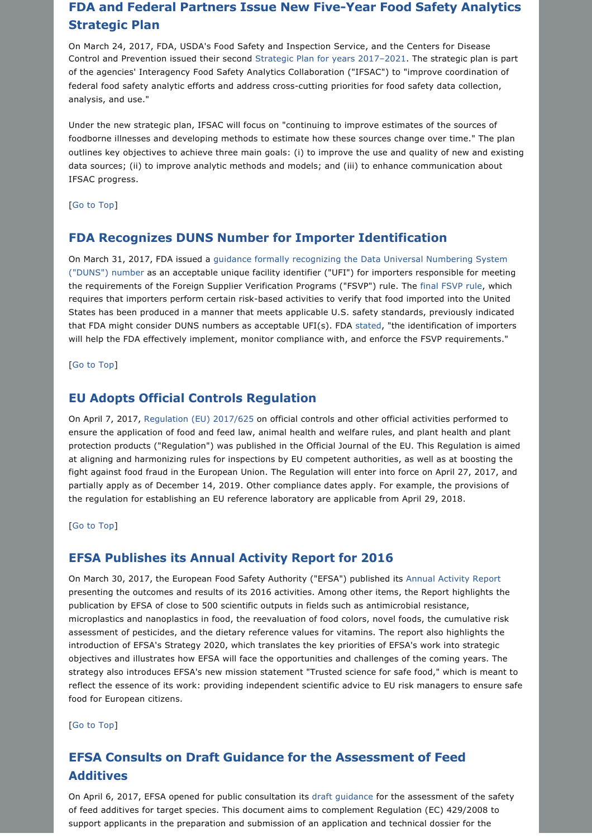## **FDA and Federal Partners Issue New Five-Year Food Safety Analytics Strategic Plan**

On March 24, 2017, FDA, USDA's Food Safety and Inspection Service, and the Centers for Disease Control and Prevention issued their second [Strategic Plan for years 2017–2021. The strategic plan is part](https://www.cdc.gov/foodsafety/ifsac/overview/strategic-plan.html?source=govdelivery&utm_medium=email&utm_source=govdelivery)  [of the agencies' Interagency Food Safety Analytics Collaboration \("IFSAC"\) to "improve coordination of](https://www.cdc.gov/foodsafety/ifsac/overview/strategic-plan.html?source=govdelivery&utm_medium=email&utm_source=govdelivery)  federal food safety analytic efforts and address cross-cutting priorities for food safety data collection, [analysis, and use."](https://www.cdc.gov/foodsafety/ifsac/overview/strategic-plan.html?source=govdelivery&utm_medium=email&utm_source=govdelivery)

Under the new strategic plan, IFSAC will focus on "continuing to improve estimates of the sources of foodborne illnesses and developing methods to estimate how these sources change over time." The plan outlines key objectives to achieve three main goals: (i) to improve the use and quality of new and existing data sources; (ii) to improve analytic methods and models; and (iii) to enhance communication about IFSAC progress.

[[Go to Top\]](https://jonesday.vuture.net/API/Print/Preview/Screen?url=https%3a%2f%2fjonesday-ecommunications.com%2f239%2f844%2fcompose-email%2ffood--dietary-supplement-and-cosmetics-regulatory-update.asp%3fwidth%3d1024#top)

### **FDA Recognizes DUNS Number for Importer Identification**

On March 31, 2017, FDA issued a [guidance formally recognizing the Data Universal Numbering System](https://www.fda.gov/downloads/Food/GuidanceRegulation/GuidanceDocumentsRegulatoryInformation/UCM549647.pdf) [\("DUNS"\) number a](https://www.fda.gov/downloads/Food/GuidanceRegulation/GuidanceDocumentsRegulatoryInformation/UCM549647.pdf)s an acceptable unique facility identifier ("UFI") for importers responsible for meeting the requirements of the Foreign Supplier Verification Programs ("FSVP") rule. The [final FSVP rule,](https://www.fda.gov/Food/GuidanceRegulation/FSMA/ucm361902.htm?source=govdelivery&utm_medium=email&utm_source=govdelivery) which requires that importers perform certain risk-based activities to verify that food imported into the United States has been produced in a manner that meets applicable U.S. safety standards, previously indicated that FDA might consider DUNS numbers as acceptable UFI(s). FDA [stated](https://www.fda.gov/Food/NewsEvents/ConstituentUpdates/ucm549668.htm), "the identification of importers will help the FDA effectively implement, monitor compliance with, and enforce the FSVP requirements."

[[Go to Top\]](https://jonesday.vuture.net/API/Print/Preview/Screen?url=https%3a%2f%2fjonesday-ecommunications.com%2f239%2f844%2fcompose-email%2ffood--dietary-supplement-and-cosmetics-regulatory-update.asp%3fwidth%3d1024#top)

### **EU Adopts Official Controls Regulation**

On April 7, 2017, [Regulation \(EU\) 2017/625](http://eur-lex.europa.eu/legal-content/EN/TXT/?uri=uriserv%3AOJ.L_.2017.095.01.0001.01.ENG&toc=OJ%3AL%3A2017%3A095%3ATOC) on official controls and other official activities performed to ensure the application of food and feed law, animal health and welfare rules, and plant health and plant protection products ("Regulation") was published in the Official Journal of the EU. This Regulation is aimed at aligning and harmonizing rules for inspections by EU competent authorities, as well as at boosting the fight against food fraud in the European Union. The Regulation will enter into force on April 27, 2017, and partially apply as of December 14, 2019. Other compliance dates apply. For example, the provisions of the regulation for establishing an EU reference laboratory are applicable from April 29, 2018.

[[Go to Top\]](https://jonesday.vuture.net/API/Print/Preview/Screen?url=https%3a%2f%2fjonesday-ecommunications.com%2f239%2f844%2fcompose-email%2ffood--dietary-supplement-and-cosmetics-regulatory-update.asp%3fwidth%3d1024#top)

#### **EFSA Publishes its Annual Activity Report for 2016**

On March 30, 2017, the European Food Safety Authority ("EFSA") published its [Annual Activity Report](http://www.efsa.europa.eu/sites/default/files/corporate_publications/files/ar2016.pdf) presenting the outcomes and results of its 2016 activities. Among other items, the Report highlights the publication by EFSA of close to 500 scientific outputs in fields such as antimicrobial resistance, microplastics and nanoplastics in food, the reevaluation of food colors, novel foods, the cumulative risk assessment of pesticides, and the dietary reference values for vitamins. The report also highlights the introduction of EFSA's Strategy 2020, which translates the key priorities of EFSA's work into strategic objectives and illustrates how EFSA will face the opportunities and challenges of the coming years. The strategy also introduces EFSA's new mission statement "Trusted science for safe food," which is meant to reflect the essence of its work: providing independent scientific advice to EU risk managers to ensure safe food for European citizens.

[[Go to Top\]](https://jonesday.vuture.net/API/Print/Preview/Screen?url=https%3a%2f%2fjonesday-ecommunications.com%2f239%2f844%2fcompose-email%2ffood--dietary-supplement-and-cosmetics-regulatory-update.asp%3fwidth%3d1024#top)

# **EFSA Consults on Draft Guidance for the Assessment of Feed Additives**

On April 6, 2017, EFSA opened for public consultation its [draft guidance](http://www.efsa.europa.eu/sites/default/files/consultation/170406.pdf) for the assessment of the safety of feed additives for target species. This document aims to complement Regulation (EC) 429/2008 to support applicants in the preparation and submission of an application and technical dossier for the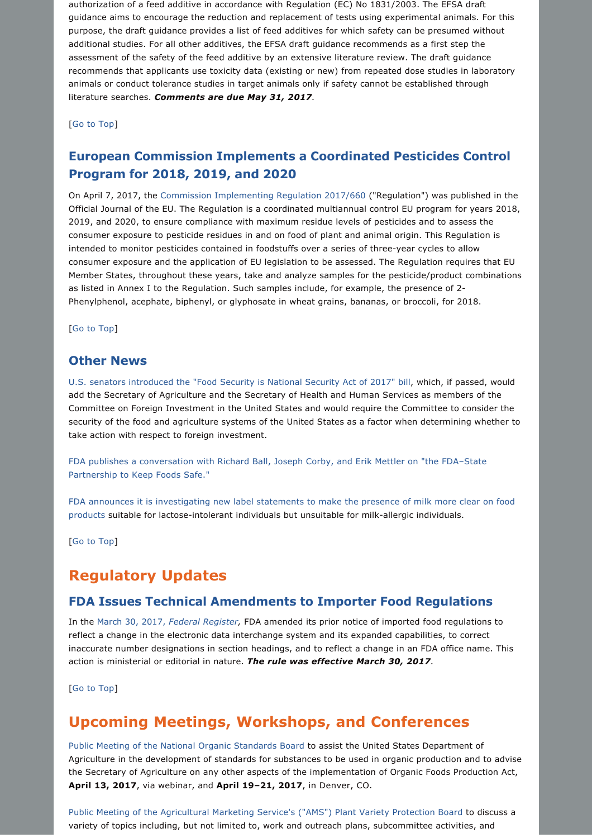authorization of a feed additive in accordance with Regulation (EC) No 1831/2003. The EFSA draft guidance aims to encourage the reduction and replacement of tests using experimental animals. For this purpose, the draft guidance provides a list of feed additives for which safety can be presumed without additional studies. For all other additives, the EFSA draft guidance recommends as a first step the assessment of the safety of the feed additive by an extensive literature review. The draft guidance recommends that applicants use toxicity data (existing or new) from repeated dose studies in laboratory animals or conduct tolerance studies in target animals only if safety cannot be established through literature searches. *Comments are due May 31, 2017.*

[[Go to Top\]](https://jonesday.vuture.net/API/Print/Preview/Screen?url=https%3a%2f%2fjonesday-ecommunications.com%2f239%2f844%2fcompose-email%2ffood--dietary-supplement-and-cosmetics-regulatory-update.asp%3fwidth%3d1024#top)

### **European Commission Implements a Coordinated Pesticides Control Program for 2018, 2019, and 2020**

On April 7, 2017, the [Commission Implementing Regulation 2017/660](http://eur-lex.europa.eu/legal-content/EN/TXT/?uri=uriserv%3AOJ.L_.2017.094.01.0012.01.ENG&toc=OJ%3AL%3A2017%3A094%3ATOC) ("Regulation") was published in the Official Journal of the EU. The Regulation is a coordinated multiannual control EU program for years 2018, 2019, and 2020, to ensure compliance with maximum residue levels of pesticides and to assess the consumer exposure to pesticide residues in and on food of plant and animal origin. This Regulation is intended to monitor pesticides contained in foodstuffs over a series of three-year cycles to allow consumer exposure and the application of EU legislation to be assessed. The Regulation requires that EU Member States, throughout these years, take and analyze samples for the pesticide/product combinations as listed in Annex I to the Regulation. Such samples include, for example, the presence of 2 Phenylphenol, acephate, biphenyl, or glyphosate in wheat grains, bananas, or broccoli, for 2018.

[[Go to Top\]](https://jonesday.vuture.net/API/Print/Preview/Screen?url=https%3a%2f%2fjonesday-ecommunications.com%2f239%2f844%2fcompose-email%2ffood--dietary-supplement-and-cosmetics-regulatory-update.asp%3fwidth%3d1024#top)

#### **Other News**

[U.S. senators introduced the "Food Security is National Security Act of 2017" bill,](https://www.congress.gov/115/bills/s616/BILLS-115s616is.pdf) which, if passed, would add the Secretary of Agriculture and the Secretary of Health and Human Services as members of the Committee on Foreign Investment in the United States and would require the Committee to consider the security of the food and agriculture systems of the United States as a factor when determining whether to take action with respect to foreign investment.

[FDA publishes a conversation with Richard Ball, Joseph Corby, and Erik Mettler on "the FDA–State](https://www.fda.gov/Food/GuidanceRegulation/FSMA/ucm549944.htm?source=govdelivery&utm_medium=email&utm_source=govdelivery) [Partnership to Keep Foods Safe."](https://www.fda.gov/Food/GuidanceRegulation/FSMA/ucm549944.htm?source=govdelivery&utm_medium=email&utm_source=govdelivery)

[FDA announces it is investigating new label statements to make the presence of milk more clear on food](https://www.fda.gov/Food/RecallsOutbreaksEmergencies/SafetyAlertsAdvisories/ucm550330.htm)  [products](https://www.fda.gov/Food/RecallsOutbreaksEmergencies/SafetyAlertsAdvisories/ucm550330.htm) suitable for lactose-intolerant individuals but unsuitable for milk-allergic individuals.

[[Go to Top\]](https://jonesday.vuture.net/API/Print/Preview/Screen?url=https%3a%2f%2fjonesday-ecommunications.com%2f239%2f844%2fcompose-email%2ffood--dietary-supplement-and-cosmetics-regulatory-update.asp%3fwidth%3d1024#top)

### **Regulatory Updates**

#### **FDA Issues Technical Amendments to Importer Food Regulations**

In the [March 30, 2017,](https://www.gpo.gov/fdsys/pkg/FR-2017-03-30/pdf/2017-06201.pdf) *Federal Register,* FDA amended its prior notice of imported food regulations to reflect a change in the electronic data interchange system and its expanded capabilities, to correct inaccurate number designations in section headings, and to reflect a change in an FDA office name. This action is ministerial or editorial in nature. *The rule was effective March 30, 2017.*

[[Go to Top\]](https://jonesday.vuture.net/API/Print/Preview/Screen?url=https%3a%2f%2fjonesday-ecommunications.com%2f239%2f844%2fcompose-email%2ffood--dietary-supplement-and-cosmetics-regulatory-update.asp%3fwidth%3d1024#top)

## **Upcoming Meetings, Workshops, and Conferences**

[Public Meeting of the National Organic Standards Board](https://www.gpo.gov/fdsys/pkg/FR-2016-11-25/pdf/2016-28383.pdf) to assist the United States Department of Agriculture in the development of standards for substances to be used in organic production and to advise the Secretary of Agriculture on any other aspects of the implementation of Organic Foods Production Act, **April 13, 2017**, via webinar, and **April 19–21, 2017**, in Denver, CO.

[Public Meeting of the Agricultural Marketing Service's \("AMS"\) Plant Variety Protection Board](https://www.gpo.gov/fdsys/pkg/FR-2017-04-11/pdf/2017-07214.pdf) to discuss a variety of topics including, but not limited to, work and outreach plans, subcommittee activities, and